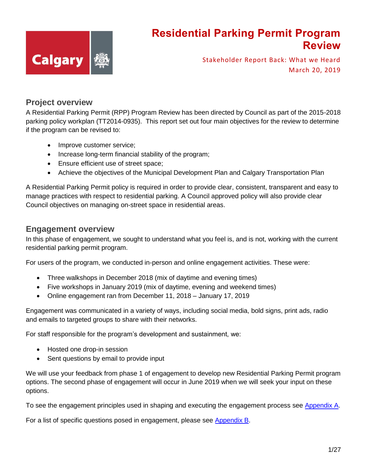

Stakeholder Report Back: What we Heard March 20, 2019

#### **Project overview**

A Residential Parking Permit (RPP) Program Review has been directed by Council as part of the 2015-2018 parking policy workplan (TT2014-0935). This report set out four main objectives for the review to determine if the program can be revised to:

- Improve customer service;
- Increase long-term financial stability of the program;
- Ensure efficient use of street space;
- Achieve the objectives of the Municipal Development Plan and Calgary Transportation Plan

A Residential Parking Permit policy is required in order to provide clear, consistent, transparent and easy to manage practices with respect to residential parking. A Council approved policy will also provide clear Council objectives on managing on-street space in residential areas.

#### **Engagement overview**

In this phase of engagement, we sought to understand what you feel is, and is not, working with the current residential parking permit program.

For users of the program, we conducted in-person and online engagement activities. These were:

- Three walkshops in December 2018 (mix of daytime and evening times)
- Five workshops in January 2019 (mix of daytime, evening and weekend times)
- Online engagement ran from December 11, 2018 January 17, 2019

Engagement was communicated in a variety of ways, including social media, bold signs, print ads, radio and emails to targeted groups to share with their networks.

For staff responsible for the program's development and sustainment, we:

- Hosted one drop-in session
- Sent questions by email to provide input

We will use your feedback from phase 1 of engagement to develop new Residential Parking Permit program options. The second phase of engagement will occur in June 2019 when we will seek your input on these options.

To see the engagement principles used in shaping and executing the engagement process see [Appendix A.](#page-24-0)

For a list of specific questions posed in engagement, please see [Appendix B.](#page-25-0)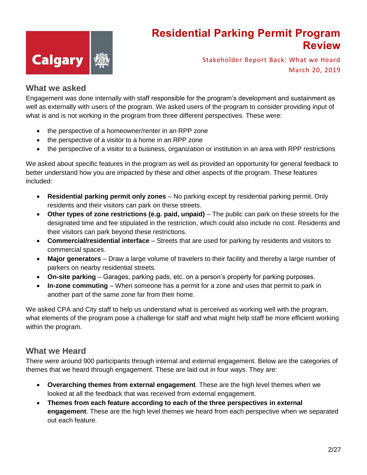

Stakeholder Report Back: What we Heard March 20, 2019

#### **What we asked**

Engagement was done internally with staff responsible for the program's development and sustainment as well as externally with users of the program. We asked users of the program to consider providing input of what is and is not working in the program from three different perspectives. These were:

- the perspective of a homeowner/renter in an RPP zone
- the perspective of a visitor to a home in an RPP zone
- the perspective of a visitor to a business, organization or institution in an area with RPP restrictions

We asked about specific features in the program as well as provided an opportunity for general feedback to better understand how you are impacted by these and other aspects of the program. These features included:

- **Residential parking permit only zones** No parking except by residential parking permit. Only residents and their visitors can park on these streets.
- **Other types of zone restrictions (e.g. paid, unpaid)** The public can park on these streets for the designated time and fee stipulated in the restriction, which could also include no cost. Residents and their visitors can park beyond these restrictions.
- **Commercial/residential interface** Streets that are used for parking by residents and visitors to commercial spaces.
- **Major generators** Draw a large volume of travelers to their facility and thereby a large number of parkers on nearby residential streets.
- **On-site parking** Garages, parking pads, etc. on a person's property for parking purposes.
- **In-zone commuting** When someone has a permit for a zone and uses that permit to park in another part of the same zone far from their home.

We asked CPA and City staff to help us understand what is perceived as working well with the program, what elements of the program pose a challenge for staff and what might help staff be more efficient working within the program.

#### **What we Heard**

There were around 900 participants through internal and external engagement. Below are the categories of themes that we heard through engagement. These are laid out in four ways. They are:

- **Overarching themes from external engagement**. These are the high level themes when we looked at all the feedback that was received from external engagement.
- **Themes from each feature according to each of the three perspectives in external engagement**. These are the high level themes we heard from each perspective when we separated out each feature.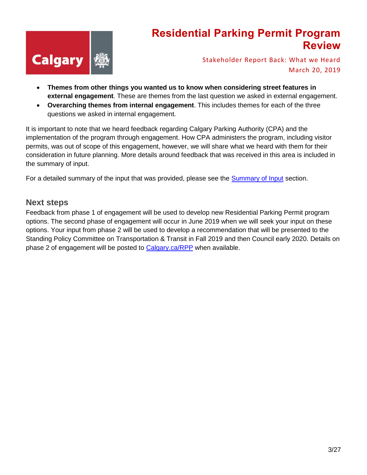

Stakeholder Report Back: What we Heard March 20, 2019

- **Themes from other things you wanted us to know when considering street features in external engagement**. These are themes from the last question we asked in external engagement.
- **Overarching themes from internal engagement**. This includes themes for each of the three questions we asked in internal engagement.

It is important to note that we heard feedback regarding Calgary Parking Authority (CPA) and the implementation of the program through engagement. How CPA administers the program, including visitor permits, was out of scope of this engagement, however, we will share what we heard with them for their consideration in future planning. More details around feedback that was received in this area is included in the summary of input.

For a detailed summary of the input that was provided, please see the [Summary of Input](#page-3-0) section.

#### **Next steps**

Feedback from phase 1 of engagement will be used to develop new Residential Parking Permit program options. The second phase of engagement will occur in June 2019 when we will seek your input on these options. Your input from phase 2 will be used to develop a recommendation that will be presented to the Standing Policy Committee on Transportation & Transit in Fall 2019 and then Council early 2020. Details on phase 2 of engagement will be posted to [Calgary.ca/RPP](http://www.engage.calgary.ca/RPP) when available.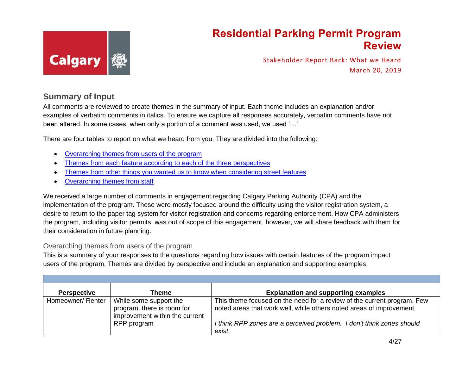

Stakeholder Report Back: What we Heard March 20, 2019

#### **Summary of Input**

All comments are reviewed to create themes in the summary of input. Each theme includes an explanation and/or examples of verbatim comments in italics. To ensure we capture all responses accurately, verbatim comments have not been altered. In some cases, when only a portion of a comment was used, we used '…'

There are four tables to report on what we heard from you. They are divided into the following:

- [Overarching themes from users of the program](#page-3-1)
- [Themes from each feature according to](#page-7-0) each of the three perspectives
- Themes from other things you wanted us to know when considering street features
- [Overarching themes from staff](#page-21-0)

<span id="page-3-0"></span>We received a large number of comments in engagement regarding Calgary Parking Authority (CPA) and the implementation of the program. These were mostly focused around the difficulty using the visitor registration system, a desire to return to the paper tag system for visitor registration and concerns regarding enforcement. How CPA administers the program, including visitor permits, was out of scope of this engagement, however, we will share feedback with them for their consideration in future planning.

#### <span id="page-3-1"></span>Overarching themes from users of the program

This is a summary of your responses to the questions regarding how issues with certain features of the program impact users of the program. Themes are divided by perspective and include an explanation and supporting examples.

| <b>Perspective</b> | Theme                                                                                  | <b>Explanation and supporting examples</b>                                                                                                      |
|--------------------|----------------------------------------------------------------------------------------|-------------------------------------------------------------------------------------------------------------------------------------------------|
| Homeowner/ Renter  | While some support the<br>program, there is room for<br>improvement within the current | This theme focused on the need for a review of the current program. Few<br>noted areas that work well, while others noted areas of improvement. |
|                    | RPP program                                                                            | I think RPP zones are a perceived problem. I don't think zones should<br>exist.                                                                 |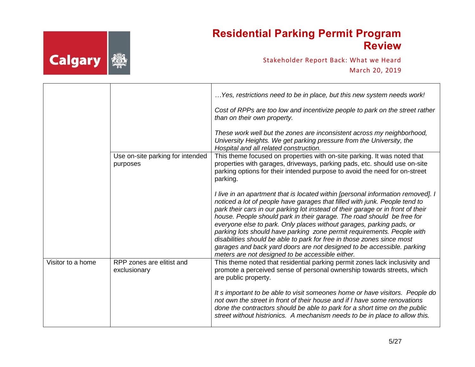

|                   |                                              | Yes, restrictions need to be in place, but this new system needs work!<br>Cost of RPPs are too low and incentivize people to park on the street rather<br>than on their own property.<br>These work well but the zones are inconsistent across my neighborhood,<br>University Heights. We get parking pressure from the University, the<br>Hospital and all related construction.                                                                                                                                                                                                                                                                                                    |
|-------------------|----------------------------------------------|--------------------------------------------------------------------------------------------------------------------------------------------------------------------------------------------------------------------------------------------------------------------------------------------------------------------------------------------------------------------------------------------------------------------------------------------------------------------------------------------------------------------------------------------------------------------------------------------------------------------------------------------------------------------------------------|
|                   | Use on-site parking for intended<br>purposes | This theme focused on properties with on-site parking. It was noted that<br>properties with garages, driveways, parking pads, etc. should use on-site<br>parking options for their intended purpose to avoid the need for on-street<br>parking.                                                                                                                                                                                                                                                                                                                                                                                                                                      |
|                   |                                              | I live in an apartment that is located within [personal information removed]. I<br>noticed a lot of people have garages that filled with junk. People tend to<br>park their cars in our parking lot instead of their garage or in front of their<br>house. People should park in their garage. The road should be free for<br>everyone else to park. Only places without garages, parking pads, or<br>parking lots should have parking zone permit requirements. People with<br>disabilities should be able to park for free in those zones since most<br>garages and back yard doors are not designed to be accessible. parking<br>meters are not designed to be accessible either. |
| Visitor to a home | RPP zones are elitist and<br>exclusionary    | This theme noted that residential parking permit zones lack inclusivity and<br>promote a perceived sense of personal ownership towards streets, which<br>are public property.                                                                                                                                                                                                                                                                                                                                                                                                                                                                                                        |
|                   |                                              | It s important to be able to visit someones home or have visitors. People do<br>not own the street in front of their house and if I have some renovations<br>done the contractors should be able to park for a short time on the public<br>street without histrionics. A mechanism needs to be in place to allow this.                                                                                                                                                                                                                                                                                                                                                               |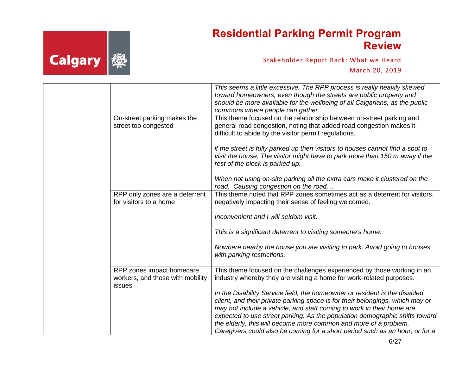

|                                                                         | This seems a little excessive. The RPP process is really heavily skewed<br>toward homeowners, even though the streets are public property and<br>should be more available for the wellbeing of all Calgarians, as the public<br>commons where people can gather.                                                                                                                                                                                                        |
|-------------------------------------------------------------------------|-------------------------------------------------------------------------------------------------------------------------------------------------------------------------------------------------------------------------------------------------------------------------------------------------------------------------------------------------------------------------------------------------------------------------------------------------------------------------|
| On-street parking makes the<br>street too congested                     | This theme focused on the relationship between on-street parking and<br>general road congestion, noting that added road congestion makes it<br>difficult to abide by the visitor permit regulations.                                                                                                                                                                                                                                                                    |
|                                                                         | if the street is fully parked up then visitors to houses cannot find a spot to<br>visit the house. The visitor might have to park more than 150 m away if the<br>rest of the block is parked up.                                                                                                                                                                                                                                                                        |
|                                                                         | When not using on-site parking all the extra cars make it clustered on the<br>road. Causing congestion on the road                                                                                                                                                                                                                                                                                                                                                      |
| RPP only zones are a deterrent<br>for visitors to a home                | This theme noted that RPP zones sometimes act as a deterrent for visitors,<br>negatively impacting their sense of feeling welcomed.                                                                                                                                                                                                                                                                                                                                     |
|                                                                         | Inconvenient and I will seldom visit.                                                                                                                                                                                                                                                                                                                                                                                                                                   |
|                                                                         | This is a significant deterrent to visiting someone's home.                                                                                                                                                                                                                                                                                                                                                                                                             |
|                                                                         | Nowhere nearby the house you are visiting to park. Avoid going to houses<br>with parking restrictions.                                                                                                                                                                                                                                                                                                                                                                  |
| RPP zones impact homecare<br>workers, and those with mobility<br>issues | This theme focused on the challenges experienced by those working in an<br>industry whereby they are visiting a home for work-related purposes.                                                                                                                                                                                                                                                                                                                         |
|                                                                         | In the Disability Service field, the homeowner or resident is the disabled<br>client, and their private parking space is for their belongings, which may or<br>may not include a vehicle, and staff coming to work in their home are<br>expected to use street parking. As the population demographic shifts toward<br>the elderly, this will become more common and more of a problem.<br>Caregivers could also be coming for a short period such as an hour, or for a |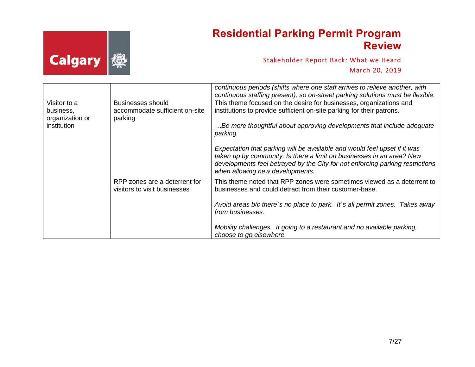

|                 |                                                               | continuous periods (shifts where one staff arrives to relieve another, with<br>continuous staffing present), so on-street parking solutions must be flexible.                                                                                                          |
|-----------------|---------------------------------------------------------------|------------------------------------------------------------------------------------------------------------------------------------------------------------------------------------------------------------------------------------------------------------------------|
| Visitor to a    | Businesses should                                             | This theme focused on the desire for businesses, organizations and                                                                                                                                                                                                     |
| business,       | accommodate sufficient on-site                                | institutions to provide sufficient on-site parking for their patrons.                                                                                                                                                                                                  |
| organization or | parking                                                       |                                                                                                                                                                                                                                                                        |
| institution     |                                                               | Be more thoughtful about approving developments that include adequate<br>parking.                                                                                                                                                                                      |
|                 |                                                               | Expectation that parking will be available and would feel upset if it was<br>taken up by community. Is there a limit on businesses in an area? New<br>developments feel betrayed by the City for not enforcing parking restrictions<br>when allowing new developments. |
|                 | RPP zones are a deterrent for<br>visitors to visit businesses | This theme noted that RPP zones were sometimes viewed as a deterrent to<br>businesses and could detract from their customer-base.                                                                                                                                      |
|                 |                                                               | Avoid areas b/c there's no place to park. It's all permit zones. Takes away<br>from businesses.                                                                                                                                                                        |
|                 |                                                               | Mobility challenges. If going to a restaurant and no available parking,<br>choose to go elsewhere.                                                                                                                                                                     |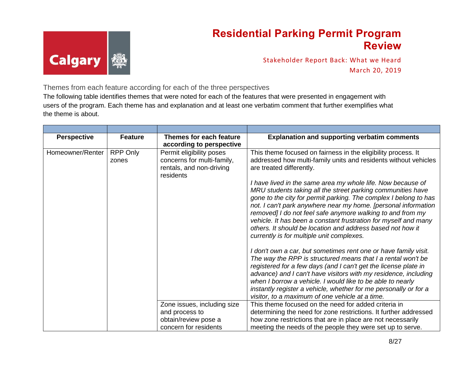

Stakeholder Report Back: What we Heard March 20, 2019

<span id="page-7-0"></span>Themes from each feature according for each of the three perspectives

The following table identifies themes that were noted for each of the features that were presented in engagement with users of the program. Each theme has and explanation and at least one verbatim comment that further exemplifies what the theme is about.

| <b>Perspective</b> | <b>Feature</b>    | Themes for each feature                                                                                                     | <b>Explanation and supporting verbatim comments</b>                                                                                                                                                                                                                                                                                                                                                                                                        |
|--------------------|-------------------|-----------------------------------------------------------------------------------------------------------------------------|------------------------------------------------------------------------------------------------------------------------------------------------------------------------------------------------------------------------------------------------------------------------------------------------------------------------------------------------------------------------------------------------------------------------------------------------------------|
| Homeowner/Renter   | RPP Only<br>zones | according to perspective<br>Permit eligibility poses<br>concerns for multi-family,<br>rentals, and non-driving<br>residents | This theme focused on fairness in the eligibility process. It<br>addressed how multi-family units and residents without vehicles<br>are treated differently.<br>I have lived in the same area my whole life. Now because of<br>MRU students taking all the street parking communities have<br>gone to the city for permit parking. The complex I belong to has                                                                                             |
|                    |                   |                                                                                                                             | not. I can't park anywhere near my home. [personal information<br>removed] I do not feel safe anymore walking to and from my<br>vehicle. It has been a constant frustration for myself and many<br>others. It should be location and address based not how it<br>currently is for multiple unit complexes.                                                                                                                                                 |
|                    |                   |                                                                                                                             | I don't own a car, but sometimes rent one or have family visit.<br>The way the RPP is structured means that I a rental won't be<br>registered for a few days (and I can't get the license plate in<br>advance) and I can't have visitors with my residence, including<br>when I borrow a vehicle. I would like to be able to nearly<br>instantly register a vehicle, whether for me personally or for a<br>visitor, to a maximum of one vehicle at a time. |
|                    |                   | Zone issues, including size                                                                                                 | This theme focused on the need for added criteria in                                                                                                                                                                                                                                                                                                                                                                                                       |
|                    |                   | and process to<br>obtain/review pose a                                                                                      | determining the need for zone restrictions. It further addressed<br>how zone restrictions that are in place are not necessarily                                                                                                                                                                                                                                                                                                                            |
|                    |                   | concern for residents                                                                                                       | meeting the needs of the people they were set up to serve.                                                                                                                                                                                                                                                                                                                                                                                                 |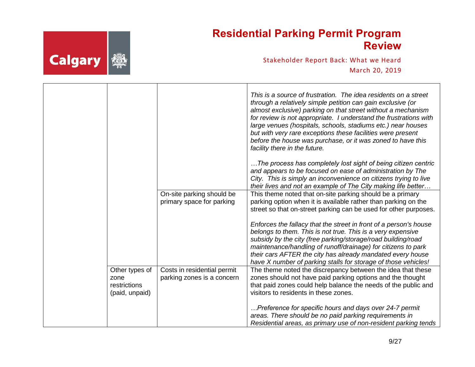

|                                        |                             | This is a source of frustration. The idea residents on a street<br>through a relatively simple petition can gain exclusive (or<br>almost exclusive) parking on that street without a mechanism<br>for review is not appropriate. I understand the frustrations with<br>large venues (hospitals, schools, stadiums etc.) near houses<br>but with very rare exceptions these facilities were present<br>before the house was purchase, or it was zoned to have this<br>facility there in the future.<br>The process has completely lost sight of being citizen centric<br>and appears to be focused on ease of administration by The<br>City. This is simply an inconvenience on citizens trying to live<br>their lives and not an example of The City making life better |
|----------------------------------------|-----------------------------|-------------------------------------------------------------------------------------------------------------------------------------------------------------------------------------------------------------------------------------------------------------------------------------------------------------------------------------------------------------------------------------------------------------------------------------------------------------------------------------------------------------------------------------------------------------------------------------------------------------------------------------------------------------------------------------------------------------------------------------------------------------------------|
|                                        | On-site parking should be   | This theme noted that on-site parking should be a primary                                                                                                                                                                                                                                                                                                                                                                                                                                                                                                                                                                                                                                                                                                               |
|                                        | primary space for parking   | parking option when it is available rather than parking on the                                                                                                                                                                                                                                                                                                                                                                                                                                                                                                                                                                                                                                                                                                          |
|                                        |                             | street so that on-street parking can be used for other purposes.                                                                                                                                                                                                                                                                                                                                                                                                                                                                                                                                                                                                                                                                                                        |
|                                        |                             | Enforces the fallacy that the street in front of a person's house<br>belongs to them. This is not true. This is a very expensive<br>subsidy by the city (free parking/storage/road building/road<br>maintenance/handling of runoff/drainage) for citizens to park<br>their cars AFTER the city has already mandated every house<br>have X number of parking stalls for storage of those vehicles!                                                                                                                                                                                                                                                                                                                                                                       |
| Other types of                         | Costs in residential permit | The theme noted the discrepancy between the idea that these                                                                                                                                                                                                                                                                                                                                                                                                                                                                                                                                                                                                                                                                                                             |
| zone<br>restrictions<br>(paid, unpaid) | parking zones is a concern  | zones should not have paid parking options and the thought<br>that paid zones could help balance the needs of the public and<br>visitors to residents in these zones.                                                                                                                                                                                                                                                                                                                                                                                                                                                                                                                                                                                                   |
|                                        |                             | Preference for specific hours and days over 24-7 permit<br>areas. There should be no paid parking requirements in<br>Residential areas, as primary use of non-resident parking tends                                                                                                                                                                                                                                                                                                                                                                                                                                                                                                                                                                                    |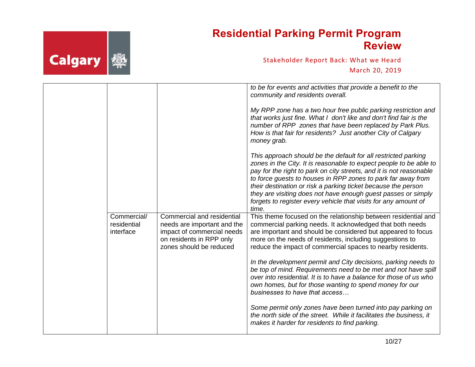

|                                         |                                                                                                                                                | to be for events and activities that provide a benefit to the<br>community and residents overall.<br>My RPP zone has a two hour free public parking restriction and<br>that works just fine. What I don't like and don't find fair is the<br>number of RPP zones that have been replaced by Park Plus.<br>How is that fair for residents? Just another City of Calgary<br>money grab.<br>This approach should be the default for all restricted parking<br>zones in the City. It is reasonable to expect people to be able to<br>pay for the right to park on city streets, and it is not reasonable<br>to force guests to houses in RPP zones to park far away from |
|-----------------------------------------|------------------------------------------------------------------------------------------------------------------------------------------------|----------------------------------------------------------------------------------------------------------------------------------------------------------------------------------------------------------------------------------------------------------------------------------------------------------------------------------------------------------------------------------------------------------------------------------------------------------------------------------------------------------------------------------------------------------------------------------------------------------------------------------------------------------------------|
|                                         |                                                                                                                                                | their destination or risk a parking ticket because the person<br>they are visiting does not have enough guest passes or simply<br>forgets to register every vehicle that visits for any amount of<br>time.                                                                                                                                                                                                                                                                                                                                                                                                                                                           |
| Commercial/<br>residential<br>interface | Commercial and residential<br>needs are important and the<br>impact of commercial needs<br>on residents in RPP only<br>zones should be reduced | This theme focused on the relationship between residential and<br>commercial parking needs. It acknowledged that both needs<br>are important and should be considered but appeared to focus<br>more on the needs of residents, including suggestions to<br>reduce the impact of commercial spaces to nearby residents.                                                                                                                                                                                                                                                                                                                                               |
|                                         |                                                                                                                                                | In the development permit and City decisions, parking needs to<br>be top of mind. Requirements need to be met and not have spill<br>over into residential. It is to have a balance for those of us who<br>own homes, but for those wanting to spend money for our<br>businesses to have that access                                                                                                                                                                                                                                                                                                                                                                  |
|                                         |                                                                                                                                                | Some permit only zones have been turned into pay parking on<br>the north side of the street. While it facilitates the business, it<br>makes it harder for residents to find parking.                                                                                                                                                                                                                                                                                                                                                                                                                                                                                 |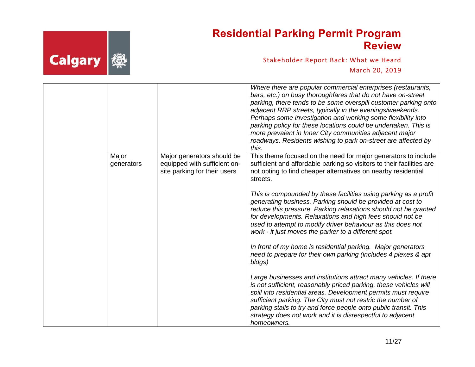

|                     |                                                                                            | Where there are popular commercial enterprises (restaurants,<br>bars, etc.) on busy thoroughfares that do not have on-street<br>parking, there tends to be some overspill customer parking onto<br>adjacent RRP streets, typically in the evenings/weekends.<br>Perhaps some investigation and working some flexibility into<br>parking policy for these locations could be undertaken. This is<br>more prevalent in Inner City communities adjacent major<br>roadways. Residents wishing to park on-street are affected by<br>this. |
|---------------------|--------------------------------------------------------------------------------------------|--------------------------------------------------------------------------------------------------------------------------------------------------------------------------------------------------------------------------------------------------------------------------------------------------------------------------------------------------------------------------------------------------------------------------------------------------------------------------------------------------------------------------------------|
| Major<br>generators | Major generators should be<br>equipped with sufficient on-<br>site parking for their users | This theme focused on the need for major generators to include<br>sufficient and affordable parking so visitors to their facilities are<br>not opting to find cheaper alternatives on nearby residential<br>streets.                                                                                                                                                                                                                                                                                                                 |
|                     |                                                                                            | This is compounded by these facilities using parking as a profit<br>generating business. Parking should be provided at cost to<br>reduce this pressure. Parking relaxations should not be granted<br>for developments. Relaxations and high fees should not be<br>used to attempt to modify driver behaviour as this does not<br>work - it just moves the parker to a different spot.                                                                                                                                                |
|                     |                                                                                            | In front of my home is residential parking. Major generators<br>need to prepare for their own parking (includes 4 plexes & apt<br>bldgs)                                                                                                                                                                                                                                                                                                                                                                                             |
|                     |                                                                                            | Large businesses and institutions attract many vehicles. If there<br>is not sufficient, reasonably priced parking, these vehicles will<br>spill into residential areas. Development permits must require<br>sufficient parking. The City must not restric the number of<br>parking stalls to try and force people onto public transit. This<br>strategy does not work and it is disrespectful to adjacent<br>homeowners.                                                                                                             |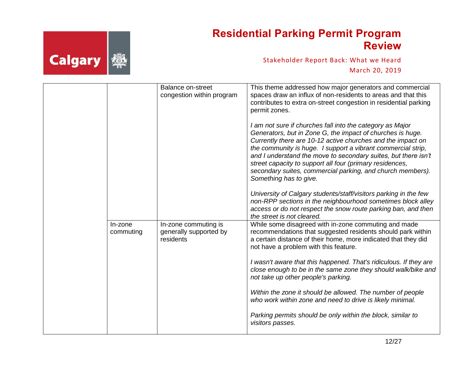

|                      | <b>Balance on-street</b><br>congestion within program       | This theme addressed how major generators and commercial<br>spaces draw an influx of non-residents to areas and that this<br>contributes to extra on-street congestion in residential parking<br>permit zones.<br>I am not sure if churches fall into the category as Major<br>Generators, but in Zone G, the impact of churches is huge.<br>Currently there are 10-12 active churches and the impact on<br>the community is huge. I support a vibrant commercial strip,<br>and I understand the move to secondary suites, but there isn't<br>street capacity to support all four (primary residences,<br>secondary suites, commercial parking, and church members).<br>Something has to give.<br>University of Calgary students/staff/visitors parking in the few<br>non-RPP sections in the neighbourhood sometimes block alley<br>access or do not respect the snow route parking ban, and then |
|----------------------|-------------------------------------------------------------|----------------------------------------------------------------------------------------------------------------------------------------------------------------------------------------------------------------------------------------------------------------------------------------------------------------------------------------------------------------------------------------------------------------------------------------------------------------------------------------------------------------------------------------------------------------------------------------------------------------------------------------------------------------------------------------------------------------------------------------------------------------------------------------------------------------------------------------------------------------------------------------------------|
| In-zone<br>commuting | In-zone commuting is<br>generally supported by<br>residents | the street is not cleared.<br>While some disagreed with in-zone commuting and made<br>recommendations that suggested residents should park within<br>a certain distance of their home, more indicated that they did<br>not have a problem with this feature.<br>I wasn't aware that this happened. That's ridiculous. If they are<br>close enough to be in the same zone they should walk/bike and<br>not take up other people's parking.<br>Within the zone it should be allowed. The number of people<br>who work within zone and need to drive is likely minimal.<br>Parking permits should be only within the block, similar to<br>visitors passes.                                                                                                                                                                                                                                            |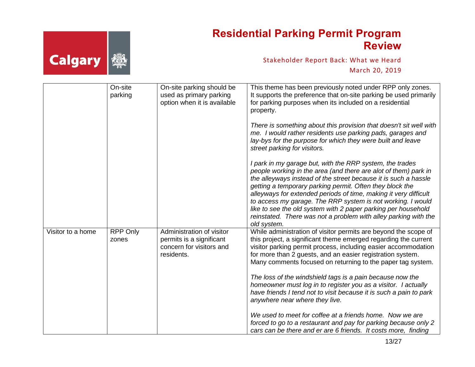

|                   | On-site<br>parking       | On-site parking should be<br>used as primary parking<br>option when it is available             | This theme has been previously noted under RPP only zones.<br>It supports the preference that on-site parking be used primarily<br>for parking purposes when its included on a residential<br>property.                                                                                                                                                                                                                                                                                                                                                                  |
|-------------------|--------------------------|-------------------------------------------------------------------------------------------------|--------------------------------------------------------------------------------------------------------------------------------------------------------------------------------------------------------------------------------------------------------------------------------------------------------------------------------------------------------------------------------------------------------------------------------------------------------------------------------------------------------------------------------------------------------------------------|
|                   |                          |                                                                                                 | There is something about this provision that doesn't sit well with<br>me. I would rather residents use parking pads, garages and<br>lay-bys for the purpose for which they were built and leave<br>street parking for visitors.                                                                                                                                                                                                                                                                                                                                          |
|                   |                          |                                                                                                 | I park in my garage but, with the RRP system, the trades<br>people working in the area (and there are alot of them) park in<br>the alleyways instead of the street because it is such a hassle<br>getting a temporary parking permit. Often they block the<br>alleyways for extended periods of time, making it very difficult<br>to access my garage. The RRP system is not working. I would<br>like to see the old system with 2 paper parking per household<br>reinstated. There was not a problem with alley parking with the<br>old system.                         |
| Visitor to a home | <b>RPP Only</b><br>zones | Administration of visitor<br>permits is a significant<br>concern for visitors and<br>residents. | While administration of visitor permits are beyond the scope of<br>this project, a significant theme emerged regarding the current<br>visitor parking permit process, including easier accommodation<br>for more than 2 guests, and an easier registration system.<br>Many comments focused on returning to the paper tag system.<br>The loss of the windshield tags is a pain because now the<br>homeowner must log in to register you as a visitor. I actually<br>have friends I tend not to visit because it is such a pain to park<br>anywhere near where they live. |
|                   |                          |                                                                                                 | We used to meet for coffee at a friends home. Now we are<br>forced to go to a restaurant and pay for parking because only 2<br>cars can be there and er are 6 friends. It costs more, finding                                                                                                                                                                                                                                                                                                                                                                            |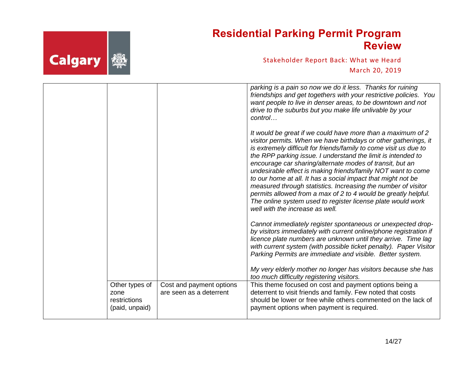

|                                                          |                                                     | parking is a pain so now we do it less. Thanks for ruining<br>friendships and get togethers with your restrictive policies. You<br>want people to live in denser areas, to be downtown and not<br>drive to the suburbs but you make life unlivable by your<br>control                                                                                                                                                                                                                                                                                                                                                                                                                                |
|----------------------------------------------------------|-----------------------------------------------------|------------------------------------------------------------------------------------------------------------------------------------------------------------------------------------------------------------------------------------------------------------------------------------------------------------------------------------------------------------------------------------------------------------------------------------------------------------------------------------------------------------------------------------------------------------------------------------------------------------------------------------------------------------------------------------------------------|
|                                                          |                                                     | It would be great if we could have more than a maximum of 2<br>visitor permits. When we have birthdays or other gatherings, it<br>is extremely difficult for friends/family to come visit us due to<br>the RPP parking issue. I understand the limit is intended to<br>encourage car sharing/alternate modes of transit, but an<br>undesirable effect is making friends/family NOT want to come<br>to our home at all. It has a social impact that might not be<br>measured through statistics. Increasing the number of visitor<br>permits allowed from a max of 2 to 4 would be greatly helpful.<br>The online system used to register license plate would work<br>well with the increase as well. |
|                                                          |                                                     | Cannot immediately register spontaneous or unexpected drop-<br>by visitors immediately with current online/phone registration if<br>licence plate numbers are unknown until they arrive. Time lag<br>with current system (with possible ticket penalty). Paper Visitor<br>Parking Permits are immediate and visible. Better system.                                                                                                                                                                                                                                                                                                                                                                  |
|                                                          |                                                     | My very elderly mother no longer has visitors because she has<br>too much difficulty registering visitors.                                                                                                                                                                                                                                                                                                                                                                                                                                                                                                                                                                                           |
| Other types of<br>zone<br>restrictions<br>(paid, unpaid) | Cost and payment options<br>are seen as a deterrent | This theme focused on cost and payment options being a<br>deterrent to visit friends and family. Few noted that costs<br>should be lower or free while others commented on the lack of<br>payment options when payment is required.                                                                                                                                                                                                                                                                                                                                                                                                                                                                  |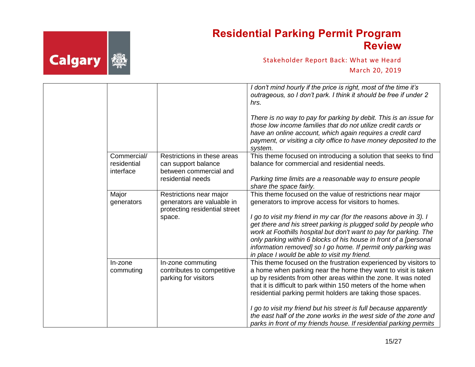# **Calgary 美**

#### **Residential Parking Permit Program Review**

|                                         |                                                                                        | I don't mind hourly if the price is right, most of the time it's<br>outrageous, so I don't park. I think it should be free if under 2<br>hrs.                                                                                                                                                                                                                                                   |
|-----------------------------------------|----------------------------------------------------------------------------------------|-------------------------------------------------------------------------------------------------------------------------------------------------------------------------------------------------------------------------------------------------------------------------------------------------------------------------------------------------------------------------------------------------|
|                                         |                                                                                        | There is no way to pay for parking by debit. This is an issue for<br>those low income families that do not utilize credit cards or<br>have an online account, which again requires a credit card<br>payment, or visiting a city office to have money deposited to the<br>system.                                                                                                                |
| Commercial/<br>residential<br>interface | Restrictions in these areas<br>can support balance<br>between commercial and           | This theme focused on introducing a solution that seeks to find<br>balance for commercial and residential needs.                                                                                                                                                                                                                                                                                |
|                                         | residential needs                                                                      | Parking time limits are a reasonable way to ensure people<br>share the space fairly.                                                                                                                                                                                                                                                                                                            |
| Major<br>generators                     | Restrictions near major<br>generators are valuable in<br>protecting residential street | This theme focused on the value of restrictions near major<br>generators to improve access for visitors to homes.                                                                                                                                                                                                                                                                               |
|                                         | space.                                                                                 | I go to visit my friend in my car (for the reasons above in 3). I<br>get there and his street parking is plugged solid by people who<br>work at Foothills hospital but don't want to pay for parking. The<br>only parking within 6 blocks of his house in front of a [personal<br>information removed] so I go home. If permit only parking was<br>in place I would be able to visit my friend. |
| In-zone<br>commuting                    | In-zone commuting<br>contributes to competitive<br>parking for visitors                | This theme focused on the frustration experienced by visitors to<br>a home when parking near the home they want to visit is taken<br>up by residents from other areas within the zone. It was noted<br>that it is difficult to park within 150 meters of the home when<br>residential parking permit holders are taking those spaces.                                                           |
|                                         |                                                                                        | I go to visit my friend but his street is full because apparently<br>the east half of the zone works in the west side of the zone and<br>parks in front of my friends house. If residential parking permits                                                                                                                                                                                     |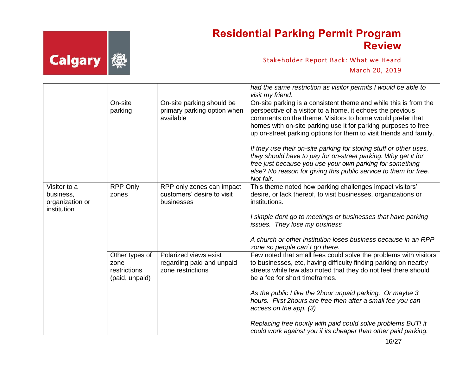

|                           |                                                          |                                                                         | had the same restriction as visitor permits I would be able to<br>visit my friend.                                                                                                                                                                                               |
|---------------------------|----------------------------------------------------------|-------------------------------------------------------------------------|----------------------------------------------------------------------------------------------------------------------------------------------------------------------------------------------------------------------------------------------------------------------------------|
|                           | On-site                                                  | On-site parking should be                                               | On-site parking is a consistent theme and while this is from the                                                                                                                                                                                                                 |
|                           | parking                                                  | primary parking option when<br>available                                | perspective of a visitor to a home, it echoes the previous<br>comments on the theme. Visitors to home would prefer that                                                                                                                                                          |
|                           |                                                          |                                                                         | homes with on-site parking use it for parking purposes to free                                                                                                                                                                                                                   |
|                           |                                                          |                                                                         | up on-street parking options for them to visit friends and family.                                                                                                                                                                                                               |
|                           |                                                          |                                                                         | If they use their on-site parking for storing stuff or other uses,<br>they should have to pay for on-street parking. Why get it for<br>free just because you use your own parking for something<br>else? No reason for giving this public service to them for free.<br>Not fair. |
| Visitor to a<br>business, | <b>RPP Only</b><br>zones                                 | RPP only zones can impact<br>customers' desire to visit                 | This theme noted how parking challenges impact visitors'<br>desire, or lack thereof, to visit businesses, organizations or                                                                                                                                                       |
| organization or           |                                                          | businesses                                                              | institutions.                                                                                                                                                                                                                                                                    |
| institution               |                                                          |                                                                         |                                                                                                                                                                                                                                                                                  |
|                           |                                                          |                                                                         | I simple dont go to meetings or businesses that have parking<br>issues. They lose my business                                                                                                                                                                                    |
|                           |                                                          |                                                                         | A church or other institution loses business because in an RPP<br>zone so people can't go there.                                                                                                                                                                                 |
|                           | Other types of<br>zone<br>restrictions<br>(paid, unpaid) | Polarized views exist<br>regarding paid and unpaid<br>zone restrictions | Few noted that small fees could solve the problems with visitors<br>to businesses, etc, having difficulty finding parking on nearby<br>streets while few also noted that they do not feel there should<br>be a fee for short timeframes.                                         |
|                           |                                                          |                                                                         | As the public I like the 2hour unpaid parking. Or maybe 3<br>hours. First 2hours are free then after a small fee you can<br>access on the app. (3)                                                                                                                               |
|                           |                                                          |                                                                         | Replacing free hourly with paid could solve problems BUT! it<br>could work against you if its cheaper than other paid parking.                                                                                                                                                   |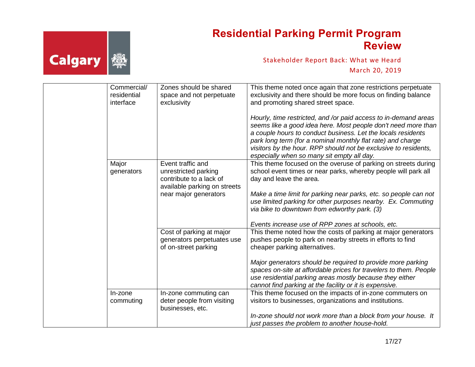

|  | Commercial/<br>residential<br>interface | Zones should be shared<br>space and not perpetuate<br>exclusivity                                    | This theme noted once again that zone restrictions perpetuate<br>exclusivity and there should be more focus on finding balance<br>and promoting shared street space.                                                                                                                                                                                                             |
|--|-----------------------------------------|------------------------------------------------------------------------------------------------------|----------------------------------------------------------------------------------------------------------------------------------------------------------------------------------------------------------------------------------------------------------------------------------------------------------------------------------------------------------------------------------|
|  |                                         |                                                                                                      | Hourly, time restricted, and /or paid access to in-demand areas<br>seems like a good idea here. Most people don't need more than<br>a couple hours to conduct business. Let the locals residents<br>park long term (for a nominal monthly flat rate) and charge<br>visitors by the hour. RPP should not be exclusive to residents,<br>especially when so many sit empty all day. |
|  | Major<br>generators                     | Event traffic and<br>unrestricted parking<br>contribute to a lack of<br>available parking on streets | This theme focused on the overuse of parking on streets during<br>school event times or near parks, whereby people will park all<br>day and leave the area.                                                                                                                                                                                                                      |
|  |                                         | near major generators                                                                                | Make a time limit for parking near parks, etc. so people can not<br>use limited parking for other purposes nearby. Ex. Commuting<br>via bike to downtown from edworthy park. (3)                                                                                                                                                                                                 |
|  |                                         |                                                                                                      | Events increase use of RPP zones at schools, etc.                                                                                                                                                                                                                                                                                                                                |
|  |                                         | Cost of parking at major<br>generators perpetuates use<br>of on-street parking                       | This theme noted how the costs of parking at major generators<br>pushes people to park on nearby streets in efforts to find<br>cheaper parking alternatives.                                                                                                                                                                                                                     |
|  |                                         |                                                                                                      | Major generators should be required to provide more parking<br>spaces on-site at affordable prices for travelers to them. People<br>use residential parking areas mostly because they either<br>cannot find parking at the facility or it is expensive.                                                                                                                          |
|  | In-zone<br>commuting                    | In-zone commuting can<br>deter people from visiting<br>businesses, etc.                              | This theme focused on the impacts of in-zone commuters on<br>visitors to businesses, organizations and institutions.                                                                                                                                                                                                                                                             |
|  |                                         |                                                                                                      | In-zone should not work more than a block from your house. It<br>just passes the problem to another house-hold.                                                                                                                                                                                                                                                                  |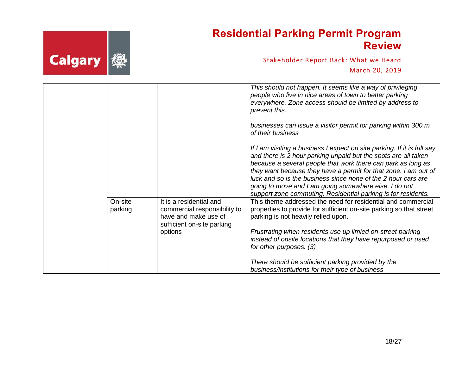

|                    |                                                                                                                          | This should not happen. It seems like a way of privileging                                                                                                                                                                                                                                                                                                                                                                                                              |
|--------------------|--------------------------------------------------------------------------------------------------------------------------|-------------------------------------------------------------------------------------------------------------------------------------------------------------------------------------------------------------------------------------------------------------------------------------------------------------------------------------------------------------------------------------------------------------------------------------------------------------------------|
|                    |                                                                                                                          | people who live in nice areas of town to better parking<br>everywhere. Zone access should be limited by address to<br>prevent this.                                                                                                                                                                                                                                                                                                                                     |
|                    |                                                                                                                          | businesses can issue a visitor permit for parking within 300 m<br>of their business                                                                                                                                                                                                                                                                                                                                                                                     |
|                    |                                                                                                                          | If I am visiting a business I expect on site parking. If it is full say<br>and there is 2 hour parking unpaid but the spots are all taken<br>because a several people that work there can park as long as<br>they want because they have a permit for that zone. I am out of<br>luck and so is the business since none of the 2 hour cars are<br>going to move and I am going somewhere else. I do not<br>support zone commuting. Residential parking is for residents. |
| On-site<br>parking | It is a residential and<br>commercial responsibility to<br>have and make use of<br>sufficient on-site parking<br>options | This theme addressed the need for residential and commercial<br>properties to provide for sufficient on-site parking so that street<br>parking is not heavily relied upon.<br>Frustrating when residents use up limied on-street parking                                                                                                                                                                                                                                |
|                    |                                                                                                                          | instead of onsite locations that they have repurposed or used<br>for other purposes. (3)                                                                                                                                                                                                                                                                                                                                                                                |
|                    |                                                                                                                          | There should be sufficient parking provided by the<br>business/institutions for their type of business                                                                                                                                                                                                                                                                                                                                                                  |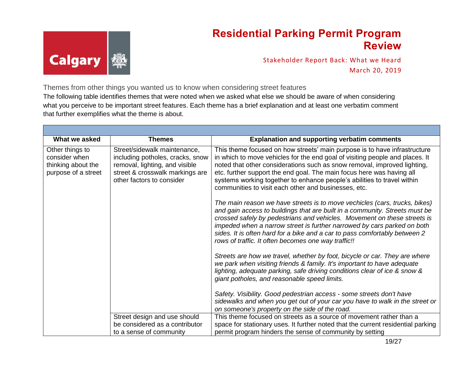

Stakeholder Report Back: What we Heard March 20, 2019

Themes from other things you wanted us to know when considering street features The following table identifies themes that were noted when we asked what else we should be aware of when considering what you perceive to be important street features. Each theme has a brief explanation and at least one verbatim comment that further exemplifies what the theme is about.

| What we asked                                                                 | <b>Themes</b>                                                                                                                                                      | <b>Explanation and supporting verbatim comments</b>                                                                                                                                                                                                                                                                                                                                                                                                   |
|-------------------------------------------------------------------------------|--------------------------------------------------------------------------------------------------------------------------------------------------------------------|-------------------------------------------------------------------------------------------------------------------------------------------------------------------------------------------------------------------------------------------------------------------------------------------------------------------------------------------------------------------------------------------------------------------------------------------------------|
| Other things to<br>consider when<br>thinking about the<br>purpose of a street | Street/sidewalk maintenance,<br>including potholes, cracks, snow<br>removal, lighting, and visible<br>street & crosswalk markings are<br>other factors to consider | This theme focused on how streets' main purpose is to have infrastructure<br>in which to move vehicles for the end goal of visiting people and places. It<br>noted that other considerations such as snow removal, improved lighting,<br>etc. further support the end goal. The main focus here was having all<br>systems working together to enhance people's abilities to travel within<br>communities to visit each other and businesses, etc.     |
|                                                                               |                                                                                                                                                                    | The main reason we have streets is to move vechicles (cars, trucks, bikes)<br>and gain access to buildings that are built in a community. Streets must be<br>crossed safely by pedestrians and vehicles. Movement on these streets is<br>impeded when a narrow street is further narrowed by cars parked on both<br>sides. It is often hard for a bike and a car to pass comfortably between 2<br>rows of traffic. It often becomes one way traffic!! |
|                                                                               |                                                                                                                                                                    | Streets are how we travel, whether by foot, bicycle or car. They are where<br>we park when visiting friends & family. It's important to have adequate<br>lighting, adequate parking, safe driving conditions clear of ice & snow &<br>giant potholes, and reasonable speed limits.                                                                                                                                                                    |
|                                                                               |                                                                                                                                                                    | Safety. Visibility. Good pedestrian access - some streets don't have<br>sidewalks and when you get out of your car you have to walk in the street or<br>on someone's property on the side of the road.                                                                                                                                                                                                                                                |
|                                                                               | Street design and use should<br>be considered as a contributor<br>to a sense of community                                                                          | This theme focused on streets as a source of movement rather than a<br>space for stationary uses. It further noted that the current residential parking<br>permit program hinders the sense of community by setting                                                                                                                                                                                                                                   |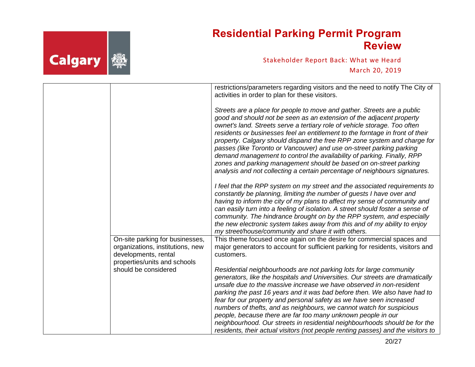

|                                                                                                                             | restrictions/parameters regarding visitors and the need to notify The City of<br>activities in order to plan for these visitors.                                                                                                                                                                                                                                                                                                                                                                                                                                                                                                                                                               |
|-----------------------------------------------------------------------------------------------------------------------------|------------------------------------------------------------------------------------------------------------------------------------------------------------------------------------------------------------------------------------------------------------------------------------------------------------------------------------------------------------------------------------------------------------------------------------------------------------------------------------------------------------------------------------------------------------------------------------------------------------------------------------------------------------------------------------------------|
|                                                                                                                             | Streets are a place for people to move and gather. Streets are a public<br>good and should not be seen as an extension of the adjacent property<br>ownet's land. Streets serve a tertiary role of vehicle storage. Too often<br>residents or businesses feel an entitlement to the forntage in front of their<br>property. Calgary should dispand the free RPP zone system and charge for<br>passes (like Toronto or Vancouver) and use on-street parking parking<br>demand management to control the availability of parking. Finally, RPP<br>zones and parking management should be based on on-street parking<br>analysis and not collecting a certain percentage of neighbours signatures. |
|                                                                                                                             | I feel that the RPP system on my street and the associated requirements to<br>constantly be planning, limiting the number of guests I have over and<br>having to inform the city of my plans to affect my sense of community and<br>can easily turn into a feeling of isolation. A street should foster a sense of<br>community. The hindrance brought on by the RPP system, and especially<br>the new electronic system takes away from this and of my ability to enjoy<br>my street/house/community and share it with others.                                                                                                                                                                |
| On-site parking for businesses,<br>organizations, institutions, new<br>developments, rental<br>properties/units and schools | This theme focused once again on the desire for commercial spaces and<br>major generators to account for sufficient parking for residents, visitors and<br>customers.                                                                                                                                                                                                                                                                                                                                                                                                                                                                                                                          |
| should be considered                                                                                                        | Residential neighbourhoods are not parking lots for large community<br>generators, like the hospitals and Universities. Our streets are dramatically<br>unsafe due to the massive increase we have observed in non-resident<br>parking the past 16 years and it was bad before then. We also have had to<br>fear for our property and personal safety as we have seen increased<br>numbers of thefts, and as neighbours, we cannot watch for suspicious<br>people, because there are far too many unknown people in our<br>neighbourhood. Our streets in residential neighbourhoods should be for the<br>residents, their actual visitors (not people renting passes) and the visitors to      |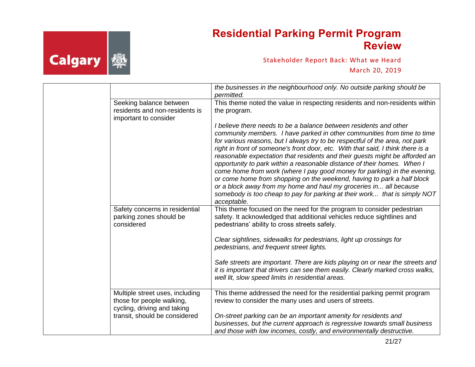# **Calgary** 變

### **Residential Parking Permit Program Review**

|                                                                                             | the businesses in the neighbourhood only. No outside parking should be<br>permitted.                                                                                                                                                                                                                                                                                                                                                                                                                                                                                                                                                                                                                                                                                                             |
|---------------------------------------------------------------------------------------------|--------------------------------------------------------------------------------------------------------------------------------------------------------------------------------------------------------------------------------------------------------------------------------------------------------------------------------------------------------------------------------------------------------------------------------------------------------------------------------------------------------------------------------------------------------------------------------------------------------------------------------------------------------------------------------------------------------------------------------------------------------------------------------------------------|
| Seeking balance between<br>residents and non-residents is<br>important to consider          | This theme noted the value in respecting residents and non-residents within<br>the program.                                                                                                                                                                                                                                                                                                                                                                                                                                                                                                                                                                                                                                                                                                      |
|                                                                                             | I believe there needs to be a balance between residents and other<br>community members. I have parked in other communities from time to time<br>for various reasons, but I always try to be respectful of the area, not park<br>right in front of someone's front door, etc. With that said, I think there is a<br>reasonable expectation that residents and their guests might be afforded an<br>opportunity to park within a reasonable distance of their homes. When I<br>come home from work (where I pay good money for parking) in the evening,<br>or come home from shopping on the weekend, having to park a half block<br>or a block away from my home and haul my groceries in all because<br>somebody is too cheap to pay for parking at their work that is simply NOT<br>acceptable. |
| Safety concerns in residential<br>parking zones should be<br>considered                     | This theme focused on the need for the program to consider pedestrian<br>safety. It acknowledged that additional vehicles reduce sightlines and<br>pedestrians' ability to cross streets safely.                                                                                                                                                                                                                                                                                                                                                                                                                                                                                                                                                                                                 |
|                                                                                             | Clear sightlines, sidewalks for pedestrians, light up crossings for<br>pedestrians, and frequent street lights.                                                                                                                                                                                                                                                                                                                                                                                                                                                                                                                                                                                                                                                                                  |
|                                                                                             | Safe streets are important. There are kids playing on or near the streets and<br>it is important that drivers can see them easily. Clearly marked cross walks,<br>well lit, slow speed limits in residential areas.                                                                                                                                                                                                                                                                                                                                                                                                                                                                                                                                                                              |
| Multiple street uses, including<br>those for people walking,<br>cycling, driving and taking | This theme addressed the need for the residential parking permit program<br>review to consider the many uses and users of streets.                                                                                                                                                                                                                                                                                                                                                                                                                                                                                                                                                                                                                                                               |
| transit, should be considered                                                               | On-street parking can be an important amenity for residents and<br>businesses, but the current approach is regressive towards small business<br>and those with low incomes, costly, and environmentally destructive.                                                                                                                                                                                                                                                                                                                                                                                                                                                                                                                                                                             |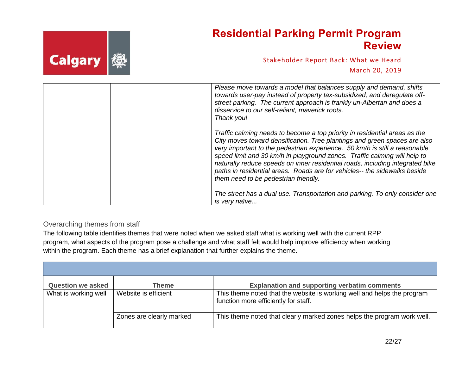|             | <b>Residential Parking Permit Program</b><br><b>Review</b> |
|-------------|------------------------------------------------------------|
| Calgary   @ | Stakeholder Report Back: What we Heard                     |
|             | March 20, 2019                                             |
|             | Please move towards a model that balances supply and deman |

| Please move towards a model that balances supply and demand, shifts<br>towards user-pay instead of property tax-subsidized, and deregulate off-<br>street parking. The current approach is frankly un-Albertan and does a<br>disservice to our self-reliant, maverick roots.<br>Thank you!                                                                                                                                                                                                                               |
|--------------------------------------------------------------------------------------------------------------------------------------------------------------------------------------------------------------------------------------------------------------------------------------------------------------------------------------------------------------------------------------------------------------------------------------------------------------------------------------------------------------------------|
| Traffic calming needs to become a top priority in residential areas as the<br>City moves toward densification. Tree plantings and green spaces are also<br>very important to the pedestrian experience. 50 km/h is still a reasonable<br>speed limit and 30 km/h in playground zones. Traffic calming will help to<br>naturally reduce speeds on inner residential roads, including integrated bike<br>paths in residential areas. Roads are for vehicles-- the sidewalks beside<br>them need to be pedestrian friendly. |
| The street has a dual use. Transportation and parking. To only consider one<br>is very naïve                                                                                                                                                                                                                                                                                                                                                                                                                             |

#### <span id="page-21-0"></span>Overarching themes from staff

 $\blacksquare$ 

The following table identifies themes that were noted when we asked staff what is working well with the current RPP program, what aspects of the program pose a challenge and what staff felt would help improve efficiency when working within the program. Each theme has a brief explanation that further explains the theme.

| <b>Question we asked</b> | Theme                    | <b>Explanation and supporting verbatim comments</b>                                                             |
|--------------------------|--------------------------|-----------------------------------------------------------------------------------------------------------------|
| What is working well     | Website is efficient     | This theme noted that the website is working well and helps the program<br>function more efficiently for staff. |
|                          | Zones are clearly marked | This theme noted that clearly marked zones helps the program work well.                                         |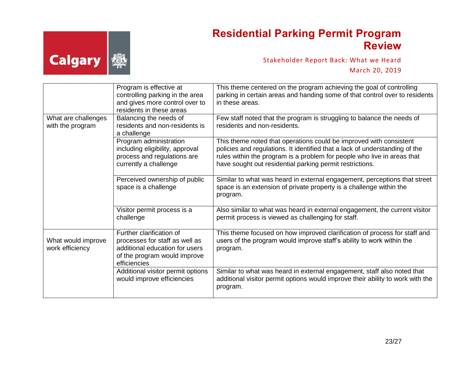

|                                         | Program is effective at<br>controlling parking in the area<br>and gives more control over to<br>residents in these areas                     | This theme centered on the program achieving the goal of controlling<br>parking in certain areas and handing some of that control over to residents<br>in these areas.                                                                                                                   |
|-----------------------------------------|----------------------------------------------------------------------------------------------------------------------------------------------|------------------------------------------------------------------------------------------------------------------------------------------------------------------------------------------------------------------------------------------------------------------------------------------|
| What are challenges<br>with the program | Balancing the needs of<br>residents and non-residents is<br>a challenge                                                                      | Few staff noted that the program is struggling to balance the needs of<br>residents and non-residents.                                                                                                                                                                                   |
|                                         | Program administration<br>including eligibility, approval<br>process and regulations are<br>currently a challenge                            | This theme noted that operations could be improved with consistent<br>policies and regulations. It identified that a lack of understanding of the<br>rules within the program is a problem for people who live in areas that<br>have sought out residential parking permit restrictions. |
|                                         | Perceived ownership of public<br>space is a challenge                                                                                        | Similar to what was heard in external engagement, perceptions that street<br>space is an extension of private property is a challenge within the<br>program.                                                                                                                             |
|                                         | Visitor permit process is a<br>challenge                                                                                                     | Also similar to what was heard in external engagement, the current visitor<br>permit process is viewed as challenging for staff.                                                                                                                                                         |
| What would improve<br>work efficiency   | Further clarification of<br>processes for staff as well as<br>additional education for users<br>of the program would improve<br>efficiencies | This theme focused on how improved clarification of process for staff and<br>users of the program would improve staff's ability to work within the<br>program.                                                                                                                           |
|                                         | Additional visitor permit options<br>would improve efficiencies                                                                              | Similar to what was heard in external engagement, staff also noted that<br>additional visitor permit options would improve their ability to work with the<br>program.                                                                                                                    |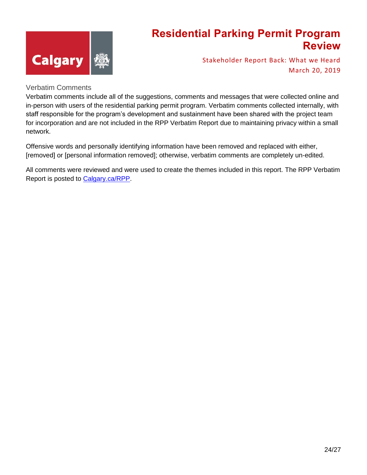

Stakeholder Report Back: What we Heard March 20, 2019

#### Verbatim Comments

Verbatim comments include all of the suggestions, comments and messages that were collected online and in-person with users of the residential parking permit program. Verbatim comments collected internally, with staff responsible for the program's development and sustainment have been shared with the project team for incorporation and are not included in the RPP Verbatim Report due to maintaining privacy within a small network.

Offensive words and personally identifying information have been removed and replaced with either, [removed] or [personal information removed]; otherwise, verbatim comments are completely un-edited.

All comments were reviewed and were used to create the themes included in this report. The RPP Verbatim Report is posted to [Calgary.ca/RPP.](http://www.engage.calgary.ca/RPP)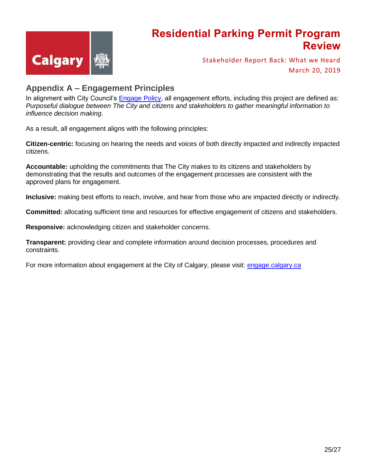

Stakeholder Report Back: What we Heard March 20, 2019

#### <span id="page-24-0"></span>**Appendix A – Engagement Principles**

In alignment with City Council's **Engage Policy**, all engagement efforts, including this project are defined as: *Purposeful dialogue between The City and citizens and stakeholders to gather meaningful information to influence decision making*.

As a result, all engagement aligns with the following principles:

**Citizen-centric:** focusing on hearing the needs and voices of both directly impacted and indirectly impacted citizens.

**Accountable:** upholding the commitments that The City makes to its citizens and stakeholders by demonstrating that the results and outcomes of the engagement processes are consistent with the approved plans for engagement.

**Inclusive:** making best efforts to reach, involve, and hear from those who are impacted directly or indirectly.

**Committed:** allocating sufficient time and resources for effective engagement of citizens and stakeholders.

**Responsive:** acknowledging citizen and stakeholder concerns.

**Transparent:** providing clear and complete information around decision processes, procedures and constraints.

For more information about engagement at the City of Calgary, please visit: [engage.calgary.ca](http://www.engage.calgary.ca/)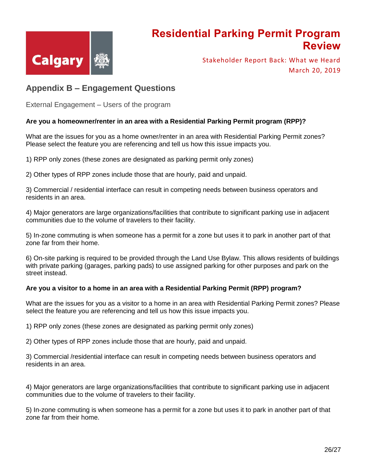

Stakeholder Report Back: What we Heard March 20, 2019

#### <span id="page-25-0"></span>**Appendix B – Engagement Questions**

External Engagement – Users of the program

#### **Are you a homeowner/renter in an area with a Residential Parking Permit program (RPP)?**

What are the issues for you as a home owner/renter in an area with Residential Parking Permit zones? Please select the feature you are referencing and tell us how this issue impacts you.

1) RPP only zones (these zones are designated as parking permit only zones)

2) Other types of RPP zones include those that are hourly, paid and unpaid.

3) Commercial / residential interface can result in competing needs between business operators and residents in an area.

4) Major generators are large organizations/facilities that contribute to significant parking use in adjacent communities due to the volume of travelers to their facility.

5) In-zone commuting is when someone has a permit for a zone but uses it to park in another part of that zone far from their home.

6) On-site parking is required to be provided through the Land Use Bylaw. This allows residents of buildings with private parking (garages, parking pads) to use assigned parking for other purposes and park on the street instead.

#### **Are you a visitor to a home in an area with a Residential Parking Permit (RPP) program?**

What are the issues for you as a visitor to a home in an area with Residential Parking Permit zones? Please select the feature you are referencing and tell us how this issue impacts you.

1) RPP only zones (these zones are designated as parking permit only zones)

2) Other types of RPP zones include those that are hourly, paid and unpaid.

3) Commercial /residential interface can result in competing needs between business operators and residents in an area.

4) Major generators are large organizations/facilities that contribute to significant parking use in adjacent communities due to the volume of travelers to their facility.

5) In-zone commuting is when someone has a permit for a zone but uses it to park in another part of that zone far from their home.